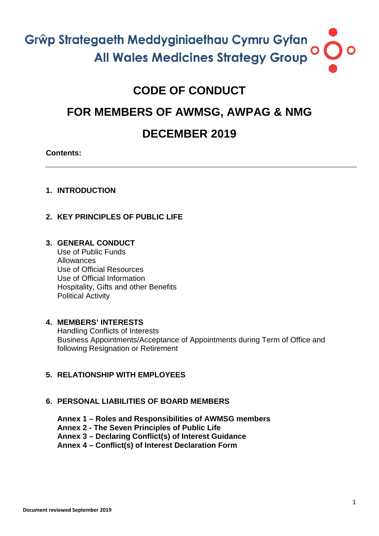# **CODE OF CONDUCT**

# **FOR MEMBERS OF AWMSG, AWPAG & NMG**

# **DECEMBER 2019**

# **Contents:**

# **1. INTRODUCTION**

# **2. KEY PRINCIPLES OF PUBLIC LIFE**

# **3. GENERAL CONDUCT**

Use of Public Funds Allowances Use of Official Resources Use of Official Information Hospitality, Gifts and other Benefits Political Activity

# **4. MEMBERS' INTERESTS**

Handling Conflicts of Interests Business Appointments/Acceptance of Appointments during Term of Office and following Resignation or Retirement

# **5. RELATIONSHIP WITH EMPLOYEES**

# **6. PERSONAL LIABILITIES OF BOARD MEMBERS**

**Annex 1 – Roles and Responsibilities of AWMSG members**

**Annex 2 - The Seven Principles of Public Life**

**Annex 3 – Declaring Conflict(s) of Interest Guidance**

**Annex 4 – Conflict(s) of Interest Declaration Form**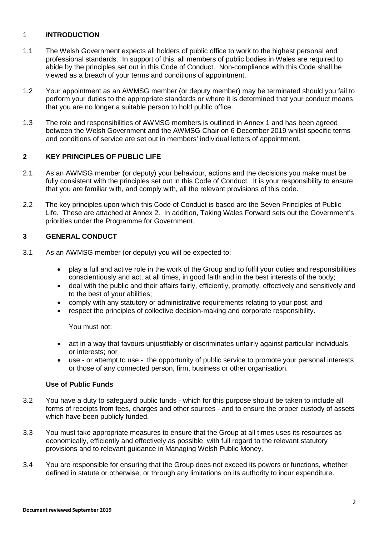# 1 **INTRODUCTION**

- 1.1 The Welsh Government expects all holders of public office to work to the highest personal and professional standards. In support of this, all members of public bodies in Wales are required to abide by the principles set out in this Code of Conduct. Non-compliance with this Code shall be viewed as a breach of your terms and conditions of appointment.
- 1.2 Your appointment as an AWMSG member (or deputy member) may be terminated should you fail to perform your duties to the appropriate standards or where it is determined that your conduct means that you are no longer a suitable person to hold public office.
- 1.3 The role and responsibilities of AWMSG members is outlined in Annex 1 and has been agreed between the Welsh Government and the AWMSG Chair on 6 December 2019 whilst specific terms and conditions of service are set out in members' individual letters of appointment.

# **2 KEY PRINCIPLES OF PUBLIC LIFE**

- 2.1 As an AWMSG member (or deputy) your behaviour, actions and the decisions you make must be fully consistent with the principles set out in this Code of Conduct. It is your responsibility to ensure that you are familiar with, and comply with, all the relevant provisions of this code.
- 2.2 The key principles upon which this Code of Conduct is based are the Seven Principles of Public Life. These are attached at Annex 2. In addition, Taking Wales Forward sets out the Government's priorities under the Programme for Government.

# **3 GENERAL CONDUCT**

- 3.1 As an AWMSG member (or deputy) you will be expected to:
	- play a full and active role in the work of the Group and to fulfil your duties and responsibilities conscientiously and act, at all times, in good faith and in the best interests of the body;
	- deal with the public and their affairs fairly, efficiently, promptly, effectively and sensitively and to the best of your abilities;
	- comply with any statutory or administrative requirements relating to your post; and
	- respect the principles of collective decision-making and corporate responsibility.

You must not:

- act in a way that favours unjustifiably or discriminates unfairly against particular individuals or interests; nor
- use or attempt to use the opportunity of public service to promote your personal interests or those of any connected person, firm, business or other organisation.

# **Use of Public Funds**

- 3.2 You have a duty to safeguard public funds which for this purpose should be taken to include all forms of receipts from fees, charges and other sources - and to ensure the proper custody of assets which have been publicly funded.
- 3.3 You must take appropriate measures to ensure that the Group at all times uses its resources as economically, efficiently and effectively as possible, with full regard to the relevant statutory provisions and to relevant guidance in Managing Welsh Public Money.
- 3.4 You are responsible for ensuring that the Group does not exceed its powers or functions, whether defined in statute or otherwise, or through any limitations on its authority to incur expenditure.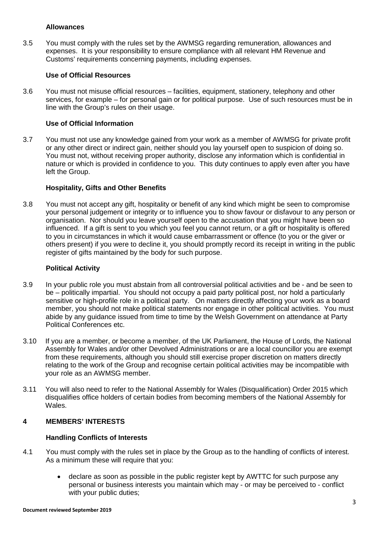#### **Allowances**

3.5 You must comply with the rules set by the AWMSG regarding remuneration, allowances and expenses. It is your responsibility to ensure compliance with all relevant HM Revenue and Customs' requirements concerning payments, including expenses.

# **Use of Official Resources**

3.6 You must not misuse official resources – facilities, equipment, stationery, telephony and other services, for example – for personal gain or for political purpose. Use of such resources must be in line with the Group's rules on their usage.

# **Use of Official Information**

3.7 You must not use any knowledge gained from your work as a member of AWMSG for private profit or any other direct or indirect gain, neither should you lay yourself open to suspicion of doing so. You must not, without receiving proper authority, disclose any information which is confidential in nature or which is provided in confidence to you. This duty continues to apply even after you have left the Group.

# **Hospitality, Gifts and Other Benefits**

3.8 You must not accept any gift, hospitality or benefit of any kind which might be seen to compromise your personal judgement or integrity or to influence you to show favour or disfavour to any person or organisation. Nor should you leave yourself open to the accusation that you might have been so influenced. If a gift is sent to you which you feel you cannot return, or a gift or hospitality is offered to you in circumstances in which it would cause embarrassment or offence (to you or the giver or others present) if you were to decline it, you should promptly record its receipt in writing in the public register of gifts maintained by the body for such purpose.

## **Political Activity**

- 3.9 In your public role you must abstain from all controversial political activities and be and be seen to be – politically impartial. You should not occupy a paid party political post, nor hold a particularly sensitive or high-profile role in a political party. On matters directly affecting your work as a board member, you should not make political statements nor engage in other political activities. You must abide by any guidance issued from time to time by the Welsh Government on attendance at Party Political Conferences etc.
- 3.10 If you are a member, or become a member, of the UK Parliament, the House of Lords, the National Assembly for Wales and/or other Devolved Administrations or are a local councillor you are exempt from these requirements, although you should still exercise proper discretion on matters directly relating to the work of the Group and recognise certain political activities may be incompatible with your role as an AWMSG member.
- 3.11 You will also need to refer to the National Assembly for Wales (Disqualification) Order 2015 which disqualifies office holders of certain bodies from becoming members of the National Assembly for Wales.

# **4 MEMBERS' INTERESTS**

#### **Handling Conflicts of Interests**

- 4.1 You must comply with the rules set in place by the Group as to the handling of conflicts of interest. As a minimum these will require that you:
	- declare as soon as possible in the public register kept by AWTTC for such purpose any personal or business interests you maintain which may - or may be perceived to - conflict with your public duties: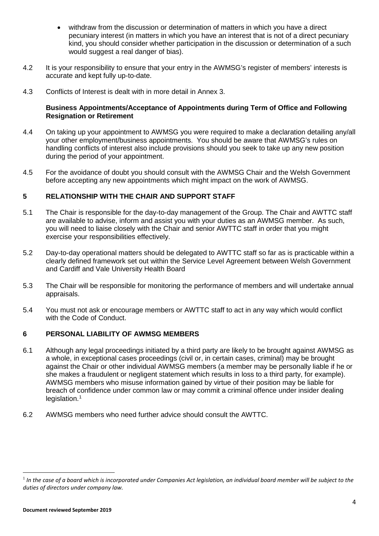- withdraw from the discussion or determination of matters in which you have a direct pecuniary interest (in matters in which you have an interest that is not of a direct pecuniary kind, you should consider whether participation in the discussion or determination of a such would suggest a real danger of bias).
- 4.2 It is your responsibility to ensure that your entry in the AWMSG's register of members' interests is accurate and kept fully up-to-date.
- 4.3 Conflicts of Interest is dealt with in more detail in Annex 3.

# **Business Appointments/Acceptance of Appointments during Term of Office and Following Resignation or Retirement**

- 4.4 On taking up your appointment to AWMSG you were required to make a declaration detailing any/all your other employment/business appointments. You should be aware that AWMSG's rules on handling conflicts of interest also include provisions should you seek to take up any new position during the period of your appointment.
- 4.5 For the avoidance of doubt you should consult with the AWMSG Chair and the Welsh Government before accepting any new appointments which might impact on the work of AWMSG.

# **5 RELATIONSHIP WITH THE CHAIR AND SUPPORT STAFF**

- 5.1 The Chair is responsible for the day-to-day management of the Group. The Chair and AWTTC staff are available to advise, inform and assist you with your duties as an AWMSG member. As such, you will need to liaise closely with the Chair and senior AWTTC staff in order that you might exercise your responsibilities effectively.
- 5.2 Day-to-day operational matters should be delegated to AWTTC staff so far as is practicable within a clearly defined framework set out within the Service Level Agreement between Welsh Government and Cardiff and Vale University Health Board
- 5.3 The Chair will be responsible for monitoring the performance of members and will undertake annual appraisals.
- 5.4 You must not ask or encourage members or AWTTC staff to act in any way which would conflict with the Code of Conduct.

# **6 PERSONAL LIABILITY OF AWMSG MEMBERS**

- 6.1 Although any legal proceedings initiated by a third party are likely to be brought against AWMSG as a whole, in exceptional cases proceedings (civil or, in certain cases, criminal) may be brought against the Chair or other individual AWMSG members (a member may be personally liable if he or she makes a fraudulent or negligent statement which results in loss to a third party, for example). AWMSG members who misuse information gained by virtue of their position may be liable for breach of confidence under common law or may commit a criminal offence under insider dealing  $leq$ islation.<sup>1</sup>
- 6.2 AWMSG members who need further advice should consult the AWTTC.

**.** 

<span id="page-3-0"></span><sup>&</sup>lt;sup>1</sup> In the case of a board which is incorporated under Companies Act legislation, an individual board member will be subject to the *duties of directors under company law.*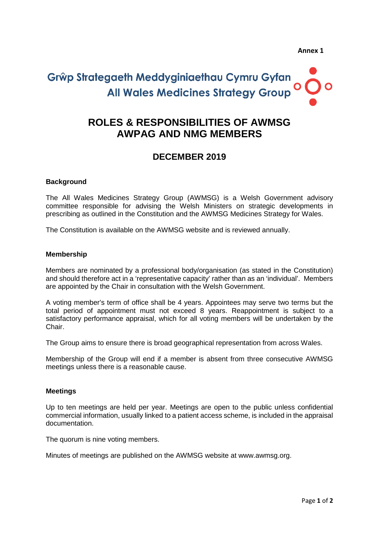# **ROLES & RESPONSIBILITIES OF AWMSG AWPAG AND NMG MEMBERS**

# **DECEMBER 2019**

# **Background**

The All Wales Medicines Strategy Group (AWMSG) is a Welsh Government advisory committee responsible for advising the Welsh Ministers on strategic developments in prescribing as outlined in the Constitution and the AWMSG Medicines Strategy for Wales.

The Constitution is available on the AWMSG website and is reviewed annually.

### **Membership**

Members are nominated by a professional body/organisation (as stated in the Constitution) and should therefore act in a 'representative capacity' rather than as an 'individual'. Members are appointed by the Chair in consultation with the Welsh Government.

A voting member's term of office shall be 4 years. Appointees may serve two terms but the total period of appointment must not exceed 8 years. Reappointment is subject to a satisfactory performance appraisal, which for all voting members will be undertaken by the Chair.

The Group aims to ensure there is broad geographical representation from across Wales.

Membership of the Group will end if a member is absent from three consecutive AWMSG meetings unless there is a reasonable cause.

#### **Meetings**

Up to ten meetings are held per year. Meetings are open to the public unless confidential commercial information, usually linked to a patient access scheme, is included in the appraisal documentation.

The quorum is nine voting members.

Minutes of meetings are published on the AWMSG website at www.awmsg.org.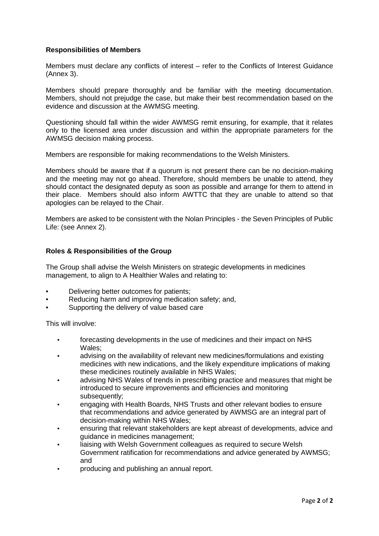# **Responsibilities of Members**

Members must declare any conflicts of interest – refer to the Conflicts of Interest Guidance (Annex 3).

Members should prepare thoroughly and be familiar with the meeting documentation. Members, should not prejudge the case, but make their best recommendation based on the evidence and discussion at the AWMSG meeting.

Questioning should fall within the wider AWMSG remit ensuring, for example, that it relates only to the licensed area under discussion and within the appropriate parameters for the AWMSG decision making process.

Members are responsible for making recommendations to the Welsh Ministers.

Members should be aware that if a quorum is not present there can be no decision-making and the meeting may not go ahead. Therefore, should members be unable to attend, they should contact the designated deputy as soon as possible and arrange for them to attend in their place. Members should also inform AWTTC that they are unable to attend so that apologies can be relayed to the Chair.

Members are asked to be consistent with the Nolan Principles - the Seven Principles of Public Life: (see Annex 2).

# **Roles & Responsibilities of the Group**

The Group shall advise the Welsh Ministers on strategic developments in medicines management, to align to A Healthier Wales and relating to:

- Delivering better outcomes for patients;
- Reducing harm and improving medication safety; and,
- Supporting the delivery of value based care

This will involve:

- forecasting developments in the use of medicines and their impact on NHS Wales;
- advising on the availability of relevant new medicines/formulations and existing medicines with new indications, and the likely expenditure implications of making these medicines routinely available in NHS Wales;
- advising NHS Wales of trends in prescribing practice and measures that might be introduced to secure improvements and efficiencies and monitoring subsequently:
- engaging with Health Boards, NHS Trusts and other relevant bodies to ensure that recommendations and advice generated by AWMSG are an integral part of decision-making within NHS Wales;
- ensuring that relevant stakeholders are kept abreast of developments, advice and guidance in medicines management;
- liaising with Welsh Government colleagues as required to secure Welsh Government ratification for recommendations and advice generated by AWMSG; and
- producing and publishing an annual report.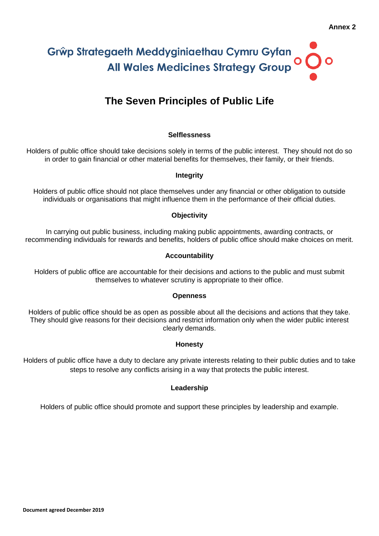# **The Seven Principles of Public Life**

# **Selflessness**

Holders of public office should take decisions solely in terms of the public interest. They should not do so in order to gain financial or other material benefits for themselves, their family, or their friends.

# **Integrity**

Holders of public office should not place themselves under any financial or other obligation to outside individuals or organisations that might influence them in the performance of their official duties.

# **Objectivity**

In carrying out public business, including making public appointments, awarding contracts, or recommending individuals for rewards and benefits, holders of public office should make choices on merit.

# **Accountability**

Holders of public office are accountable for their decisions and actions to the public and must submit themselves to whatever scrutiny is appropriate to their office.

#### **Openness**

Holders of public office should be as open as possible about all the decisions and actions that they take. They should give reasons for their decisions and restrict information only when the wider public interest clearly demands.

# **Honesty**

Holders of public office have a duty to declare any private interests relating to their public duties and to take steps to resolve any conflicts arising in a way that protects the public interest.

# **Leadership**

Holders of public office should promote and support these principles by leadership and example.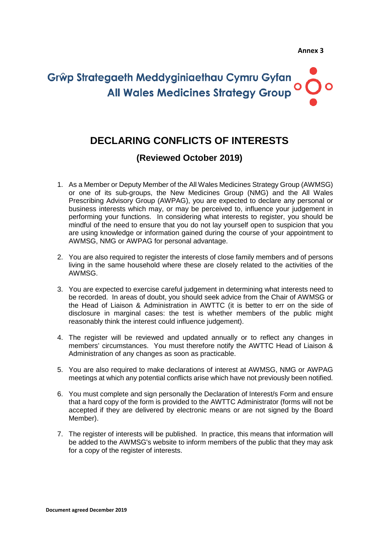# **DECLARING CONFLICTS OF INTERESTS**

# **(Reviewed October 2019)**

- 1. As a Member or Deputy Member of the All Wales Medicines Strategy Group (AWMSG) or one of its sub-groups, the New Medicines Group (NMG) and the All Wales Prescribing Advisory Group (AWPAG), you are expected to declare any personal or business interests which may, or may be perceived to, influence your judgement in performing your functions. In considering what interests to register, you should be mindful of the need to ensure that you do not lay yourself open to suspicion that you are using knowledge or information gained during the course of your appointment to AWMSG, NMG or AWPAG for personal advantage.
- 2. You are also required to register the interests of close family members and of persons living in the same household where these are closely related to the activities of the AWMSG.
- 3. You are expected to exercise careful judgement in determining what interests need to be recorded. In areas of doubt, you should seek advice from the Chair of AWMSG or the Head of Liaison & Administration in AWTTC (it is better to err on the side of disclosure in marginal cases: the test is whether members of the public might reasonably think the interest could influence judgement).
- 4. The register will be reviewed and updated annually or to reflect any changes in members' circumstances. You must therefore notify the AWTTC Head of Liaison & Administration of any changes as soon as practicable.
- 5. You are also required to make declarations of interest at AWMSG, NMG or AWPAG meetings at which any potential conflicts arise which have not previously been notified.
- 6. You must complete and sign personally the Declaration of Interest/s Form and ensure that a hard copy of the form is provided to the AWTTC Administrator (forms will not be accepted if they are delivered by electronic means or are not signed by the Board Member).
- 7. The register of interests will be published. In practice, this means that information will be added to the AWMSG's website to inform members of the public that they may ask for a copy of the register of interests.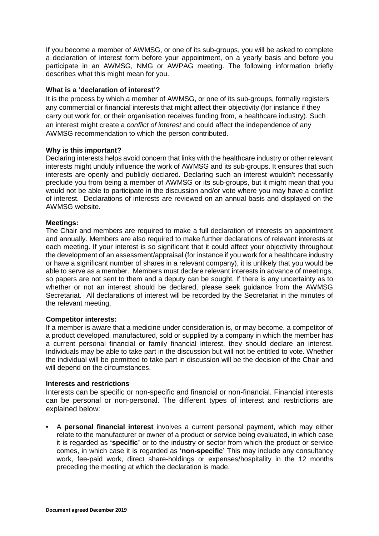If you become a member of AWMSG, or one of its sub-groups, you will be asked to complete a declaration of interest form before your appointment, on a yearly basis and before you participate in an AWMSG, NMG or AWPAG meeting. The following information briefly describes what this might mean for you.

## **What is a 'declaration of interest'?**

It is the process by which a member of AWMSG, or one of its sub-groups, formally registers any commercial or financial interests that might affect their objectivity (for instance if they carry out work for, or their organisation receives funding from, a healthcare industry). Such an interest might create a *conflict of interest* and could affect the independence of any AWMSG recommendation to which the person contributed.

### **Why is this important?**

Declaring interests helps avoid concern that links with the healthcare industry or other relevant interests might unduly influence the work of AWMSG and its sub-groups. It ensures that such interests are openly and publicly declared. Declaring such an interest wouldn't necessarily preclude you from being a member of AWMSG or its sub-groups, but it might mean that you would not be able to participate in the discussion and/or vote where you may have a conflict of interest. Declarations of interests are reviewed on an annual basis and displayed on the AWMSG website.

### **Meetings:**

The Chair and members are required to make a full declaration of interests on appointment and annually. Members are also required to make further declarations of relevant interests at each meeting. If your interest is so significant that it could affect your objectivity throughout the development of an assessment/appraisal (for instance if you work for a healthcare industry or have a significant number of shares in a relevant company), it is unlikely that you would be able to serve as a member. Members must declare relevant interests in advance of meetings, so papers are not sent to them and a deputy can be sought. If there is any uncertainty as to whether or not an interest should be declared, please seek guidance from the AWMSG Secretariat. All declarations of interest will be recorded by the Secretariat in the minutes of the relevant meeting.

# **Competitor interests:**

If a member is aware that a medicine under consideration is, or may become, a competitor of a product developed, manufactured, sold or supplied by a company in which the member has a current personal financial or family financial interest, they should declare an interest. Individuals may be able to take part in the discussion but will not be entitled to vote. Whether the individual will be permitted to take part in discussion will be the decision of the Chair and will depend on the circumstances.

#### **Interests and restrictions**

Interests can be specific or non-specific and financial or non-financial. Financial interests can be personal or non-personal. The different types of interest and restrictions are explained below:

• A **personal financial interest** involves a current personal payment, which may either relate to the manufacturer or owner of a product or service being evaluated, in which case it is regarded as **'specific'** or to the industry or sector from which the product or service comes, in which case it is regarded as **'non-specific'** This may include any consultancy work, fee-paid work, direct share-holdings or expenses/hospitality in the 12 months preceding the meeting at which the declaration is made.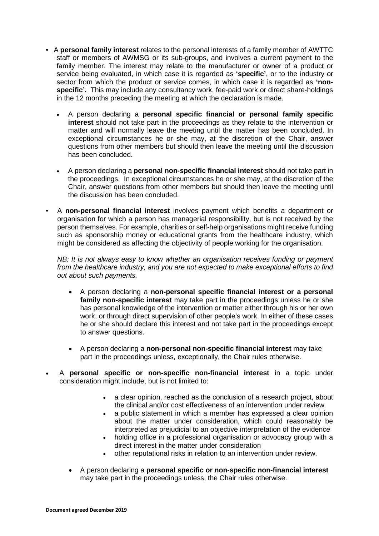- A **personal family interest** relates to the personal interests of a family member of AWTTC staff or members of AWMSG or its sub-groups, and involves a current payment to the family member. The interest may relate to the manufacturer or owner of a product or service being evaluated, in which case it is regarded as **'specific'**, or to the industry or sector from which the product or service comes, in which case it is regarded as **'nonspecific'.** This may include any consultancy work, fee-paid work or direct share-holdings in the 12 months preceding the meeting at which the declaration is made.
	- A person declaring a **personal specific financial or personal family specific interest** should not take part in the proceedings as they relate to the intervention or matter and will normally leave the meeting until the matter has been concluded. In exceptional circumstances he or she may, at the discretion of the Chair, answer questions from other members but should then leave the meeting until the discussion has been concluded.
	- A person declaring a **personal non-specific financial interest** should not take part in the proceedings. In exceptional circumstances he or she may, at the discretion of the Chair, answer questions from other members but should then leave the meeting until the discussion has been concluded.
- A **non-personal financial interest** involves payment which benefits a department or organisation for which a person has managerial responsibility, but is not received by the person themselves. For example, charities or self-help organisations might receive funding such as sponsorship money or educational grants from the healthcare industry, which might be considered as affecting the objectivity of people working for the organisation.

*NB: It is not always easy to know whether an organisation receives funding or payment from the healthcare industry, and you are not expected to make exceptional efforts to find out about such payments.*

- A person declaring a **non-personal specific financial interest or a personal family non-specific interest** may take part in the proceedings unless he or she has personal knowledge of the intervention or matter either through his or her own work, or through direct supervision of other people's work. In either of these cases he or she should declare this interest and not take part in the proceedings except to answer questions.
- A person declaring a **non-personal non-specific financial interest** may take part in the proceedings unless, exceptionally, the Chair rules otherwise.
- A **personal specific or non-specific non-financial interest** in a topic under consideration might include, but is not limited to:
	- a clear opinion, reached as the conclusion of a research project, about the clinical and/or cost effectiveness of an intervention under review
	- a public statement in which a member has expressed a clear opinion about the matter under consideration, which could reasonably be interpreted as prejudicial to an objective interpretation of the evidence
	- holding office in a professional organisation or advocacy group with a direct interest in the matter under consideration
	- other reputational risks in relation to an intervention under review.
	- A person declaring a **personal specific or non-specific non-financial interest** may take part in the proceedings unless, the Chair rules otherwise.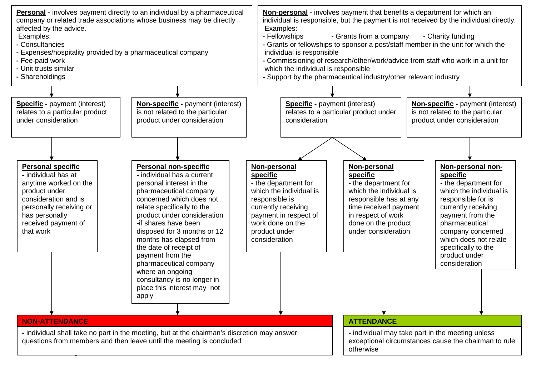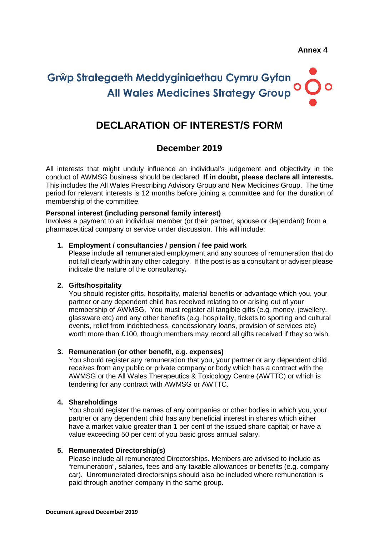# **DECLARATION OF INTEREST/S FORM**

# **December 2019**

All interests that might unduly influence an individual's judgement and objectivity in the conduct of AWMSG business should be declared. **If in doubt, please declare all interests.**  This includes the All Wales Prescribing Advisory Group and New Medicines Group. The time period for relevant interests is 12 months before joining a committee and for the duration of membership of the committee.

## **Personal interest (including personal family interest)**

Involves a payment to an individual member (or their partner, spouse or dependant) from a pharmaceutical company or service under discussion. This will include:

### **1. Employment / consultancies / pension / fee paid work**

Please include all remunerated employment and any sources of remuneration that do not fall clearly within any other category. If the post is as a consultant or adviser please indicate the nature of the consultancy**.**

# **2. Gifts/hospitality**

You should register gifts, hospitality, material benefits or advantage which you, your partner or any dependent child has received relating to or arising out of your membership of AWMSG. You must register all tangible gifts (e.g. money, jewellery, glassware etc) and any other benefits (e.g. hospitality, tickets to sporting and cultural events, relief from indebtedness, concessionary loans, provision of services etc) worth more than £100, though members may record all gifts received if they so wish.

# **3. Remuneration (or other benefit, e.g. expenses)**

You should register any remuneration that you, your partner or any dependent child receives from any public or private company or body which has a contract with the AWMSG or the All Wales Therapeutics & Toxicology Centre (AWTTC) or which is tendering for any contract with AWMSG or AWTTC.

# **4. Shareholdings**

You should register the names of any companies or other bodies in which you, your partner or any dependent child has any beneficial interest in shares which either have a market value greater than 1 per cent of the issued share capital; or have a value exceeding 50 per cent of you basic gross annual salary.

# **5. Remunerated Directorship(s)**

Please include all remunerated Directorships. Members are advised to include as "remuneration", salaries, fees and any taxable allowances or benefits (e.g. company car). Unremunerated directorships should also be included where remuneration is paid through another company in the same group.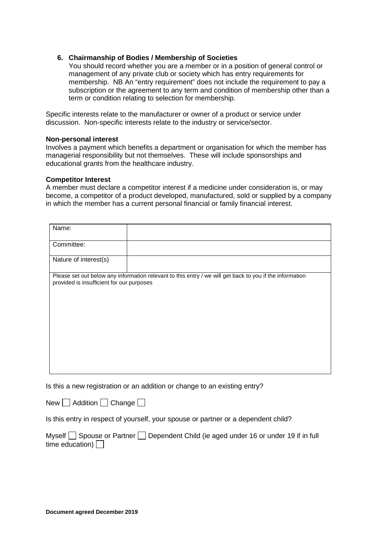### **6. Chairmanship of Bodies / Membership of Societies**

You should record whether you are a member or in a position of general control or management of any private club or society which has entry requirements for membership. NB An "entry requirement" does not include the requirement to pay a subscription or the agreement to any term and condition of membership other than a term or condition relating to selection for membership.

Specific interests relate to the manufacturer or owner of a product or service under discussion. Non-specific interests relate to the industry or service/sector.

#### **Non-personal interest**

Involves a payment which benefits a department or organisation for which the member has managerial responsibility but not themselves. These will include sponsorships and educational grants from the healthcare industry.

#### **Competitor Interest**

A member must declare a competitor interest if a medicine under consideration is, or may become, a competitor of a product developed, manufactured, sold or supplied by a company in which the member has a current personal financial or family financial interest.

| Name:                                                                                                                                                 |  |
|-------------------------------------------------------------------------------------------------------------------------------------------------------|--|
| Committee:                                                                                                                                            |  |
| Nature of interest(s)                                                                                                                                 |  |
| Please set out below any information relevant to this entry / we will get back to you if the information<br>provided is insufficient for our purposes |  |
|                                                                                                                                                       |  |
|                                                                                                                                                       |  |
|                                                                                                                                                       |  |

Is this a new registration or an addition or change to an existing entry?

New  $\Box$  Addition  $\Box$  Change  $\Box$ 

Is this entry in respect of yourself, your spouse or partner or a dependent child?

Myself  $\Box$  Spouse or Partner  $\Box$  Dependent Child (ie aged under 16 or under 19 if in full time education)  $\Box$